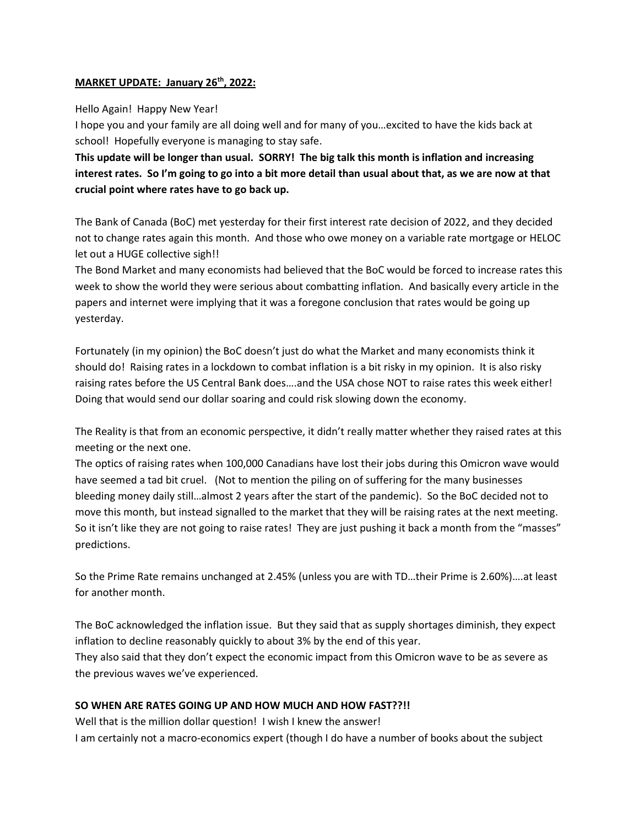## **MARKET UPDATE: January 26th, 2022:**

## Hello Again! Happy New Year!

I hope you and your family are all doing well and for many of you…excited to have the kids back at school! Hopefully everyone is managing to stay safe.

**This update will be longer than usual. SORRY! The big talk this month is inflation and increasing interest rates. So I'm going to go into a bit more detail than usual about that, as we are now at that crucial point where rates have to go back up.**

The Bank of Canada (BoC) met yesterday for their first interest rate decision of 2022, and they decided not to change rates again this month. And those who owe money on a variable rate mortgage or HELOC let out a HUGE collective sigh!!

The Bond Market and many economists had believed that the BoC would be forced to increase rates this week to show the world they were serious about combatting inflation. And basically every article in the papers and internet were implying that it was a foregone conclusion that rates would be going up yesterday.

Fortunately (in my opinion) the BoC doesn't just do what the Market and many economists think it should do! Raising rates in a lockdown to combat inflation is a bit risky in my opinion. It is also risky raising rates before the US Central Bank does….and the USA chose NOT to raise rates this week either! Doing that would send our dollar soaring and could risk slowing down the economy.

The Reality is that from an economic perspective, it didn't really matter whether they raised rates at this meeting or the next one.

The optics of raising rates when 100,000 Canadians have lost their jobs during this Omicron wave would have seemed a tad bit cruel. (Not to mention the piling on of suffering for the many businesses bleeding money daily still…almost 2 years after the start of the pandemic). So the BoC decided not to move this month, but instead signalled to the market that they will be raising rates at the next meeting. So it isn't like they are not going to raise rates! They are just pushing it back a month from the "masses" predictions.

So the Prime Rate remains unchanged at 2.45% (unless you are with TD…their Prime is 2.60%)….at least for another month.

The BoC acknowledged the inflation issue. But they said that as supply shortages diminish, they expect inflation to decline reasonably quickly to about 3% by the end of this year.

They also said that they don't expect the economic impact from this Omicron wave to be as severe as the previous waves we've experienced.

# **SO WHEN ARE RATES GOING UP AND HOW MUCH AND HOW FAST??!!**

Well that is the million dollar question! I wish I knew the answer!

I am certainly not a macro-economics expert (though I do have a number of books about the subject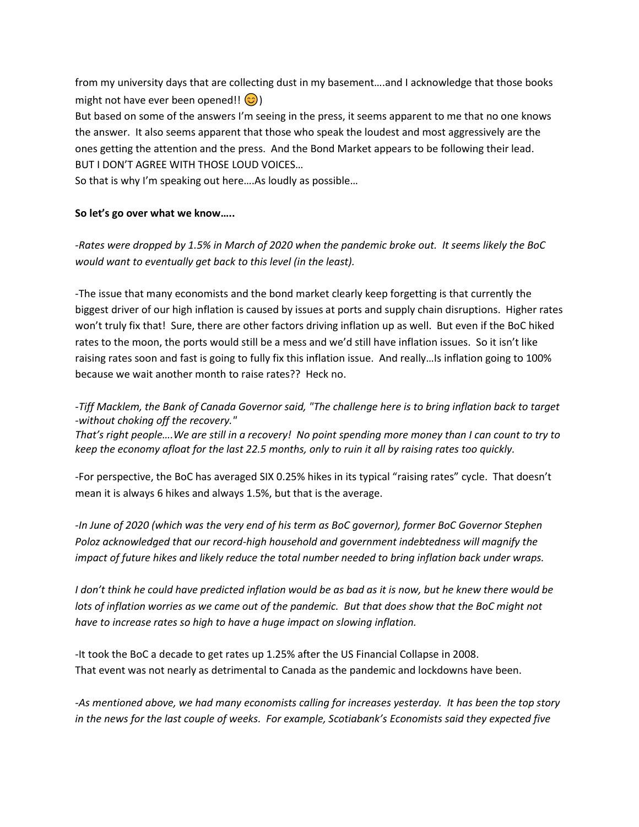from my university days that are collecting dust in my basement….and I acknowledge that those books might not have ever been opened!!  $\circled{c}$ ) But based on some of the answers I'm seeing in the press, it seems apparent to me that no one knows the answer. It also seems apparent that those who speak the loudest and most aggressively are the ones getting the attention and the press. And the Bond Market appears to be following their lead. BUT I DON'T AGREE WITH THOSE LOUD VOICES…

So that is why I'm speaking out here….As loudly as possible…

#### **So let's go over what we know…..**

*-Rates were dropped by 1.5% in March of 2020 when the pandemic broke out. It seems likely the BoC would want to eventually get back to this level (in the least).* 

-The issue that many economists and the bond market clearly keep forgetting is that currently the biggest driver of our high inflation is caused by issues at ports and supply chain disruptions. Higher rates won't truly fix that! Sure, there are other factors driving inflation up as well. But even if the BoC hiked rates to the moon, the ports would still be a mess and we'd still have inflation issues. So it isn't like raising rates soon and fast is going to fully fix this inflation issue. And really…Is inflation going to 100% because we wait another month to raise rates?? Heck no.

*-Tiff Macklem, the Bank of Canada Governor said, "The challenge here is to bring inflation back to target -without choking off the recovery."* 

*That's right people….We are still in a recovery! No point spending more money than I can count to try to keep the economy afloat for the last 22.5 months, only to ruin it all by raising rates too quickly.*

-For perspective, the BoC has averaged SIX 0.25% hikes in its typical "raising rates" cycle. That doesn't mean it is always 6 hikes and always 1.5%, but that is the average.

*-In June of 2020 (which was the very end of his term as BoC governor), former BoC Governor Stephen Poloz acknowledged that our record-high household and government indebtedness will magnify the impact of future hikes and likely reduce the total number needed to bring inflation back under wraps.* 

*I don't think he could have predicted inflation would be as bad as it is now, but he knew there would be*  lots of inflation worries as we came out of the pandemic. But that does show that the BoC might not *have to increase rates so high to have a huge impact on slowing inflation.*

-It took the BoC a decade to get rates up 1.25% after the US Financial Collapse in 2008. That event was not nearly as detrimental to Canada as the pandemic and lockdowns have been.

*-As mentioned above, we had many economists calling for increases yesterday. It has been the top story in the news for the last couple of weeks. For example, Scotiabank's Economists said they expected five*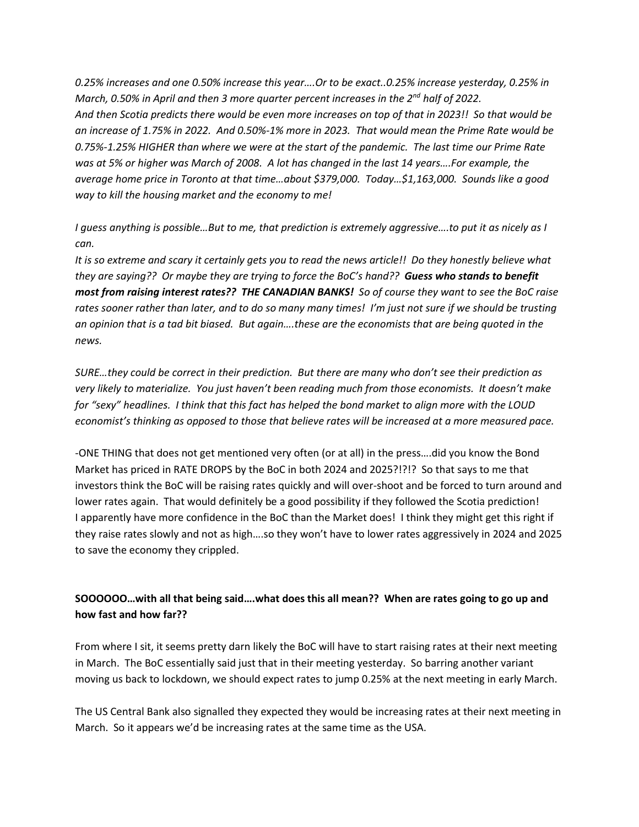*0.25% increases and one 0.50% increase this year….Or to be exact..0.25% increase yesterday, 0.25% in March, 0.50% in April and then 3 more quarter percent increases in the 2nd half of 2022. And then Scotia predicts there would be even more increases on top of that in 2023!! So that would be an increase of 1.75% in 2022. And 0.50%-1% more in 2023. That would mean the Prime Rate would be 0.75%-1.25% HIGHER than where we were at the start of the pandemic. The last time our Prime Rate was at 5% or higher was March of 2008. A lot has changed in the last 14 years….For example, the average home price in Toronto at that time…about \$379,000. Today…\$1,163,000. Sounds like a good way to kill the housing market and the economy to me!* 

*I guess anything is possible…But to me, that prediction is extremely aggressive….to put it as nicely as I can.*

*It is so extreme and scary it certainly gets you to read the news article!! Do they honestly believe what they are saying?? Or maybe they are trying to force the BoC's hand?? Guess who stands to benefit most from raising interest rates?? THE CANADIAN BANKS! So of course they want to see the BoC raise rates sooner rather than later, and to do so many many times! I'm just not sure if we should be trusting an opinion that is a tad bit biased. But again….these are the economists that are being quoted in the news.* 

*SURE…they could be correct in their prediction. But there are many who don't see their prediction as very likely to materialize. You just haven't been reading much from those economists. It doesn't make for "sexy" headlines. I think that this fact has helped the bond market to align more with the LOUD economist's thinking as opposed to those that believe rates will be increased at a more measured pace.*

-ONE THING that does not get mentioned very often (or at all) in the press….did you know the Bond Market has priced in RATE DROPS by the BoC in both 2024 and 2025?!?!? So that says to me that investors think the BoC will be raising rates quickly and will over-shoot and be forced to turn around and lower rates again. That would definitely be a good possibility if they followed the Scotia prediction! I apparently have more confidence in the BoC than the Market does! I think they might get this right if they raise rates slowly and not as high….so they won't have to lower rates aggressively in 2024 and 2025 to save the economy they crippled.

# **SOOOOOO…with all that being said….what does this all mean?? When are rates going to go up and how fast and how far??**

From where I sit, it seems pretty darn likely the BoC will have to start raising rates at their next meeting in March. The BoC essentially said just that in their meeting yesterday. So barring another variant moving us back to lockdown, we should expect rates to jump 0.25% at the next meeting in early March.

The US Central Bank also signalled they expected they would be increasing rates at their next meeting in March. So it appears we'd be increasing rates at the same time as the USA.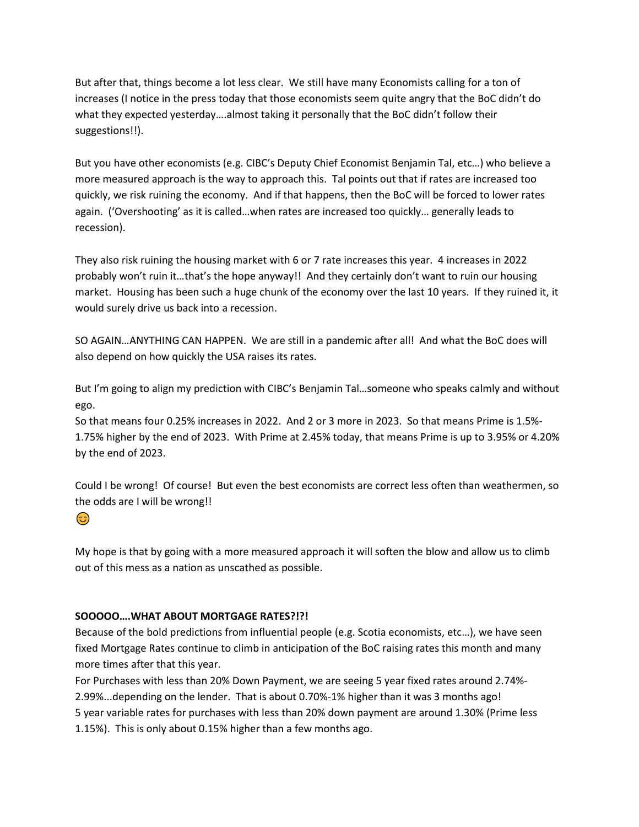But after that, things become a lot less clear. We still have many Economists calling for a ton of increases (I notice in the press today that those economists seem quite angry that the BoC didn't do what they expected yesterday….almost taking it personally that the BoC didn't follow their suggestions!!).

But you have other economists (e.g. CIBC's Deputy Chief Economist Benjamin Tal, etc…) who believe a more measured approach is the way to approach this. Tal points out that if rates are increased too quickly, we risk ruining the economy. And if that happens, then the BoC will be forced to lower rates again. ('Overshooting' as it is called…when rates are increased too quickly… generally leads to recession).

They also risk ruining the housing market with 6 or 7 rate increases this year. 4 increases in 2022 probably won't ruin it…that's the hope anyway!! And they certainly don't want to ruin our housing market. Housing has been such a huge chunk of the economy over the last 10 years. If they ruined it, it would surely drive us back into a recession.

SO AGAIN…ANYTHING CAN HAPPEN. We are still in a pandemic after all! And what the BoC does will also depend on how quickly the USA raises its rates.

But I'm going to align my prediction with CIBC's Benjamin Tal…someone who speaks calmly and without ego.

So that means four 0.25% increases in 2022. And 2 or 3 more in 2023. So that means Prime is 1.5%- 1.75% higher by the end of 2023. With Prime at 2.45% today, that means Prime is up to 3.95% or 4.20% by the end of 2023.

Could I be wrong! Of course! But even the best economists are correct less often than weathermen, so the odds are I will be wrong!!

# $\odot$

My hope is that by going with a more measured approach it will soften the blow and allow us to climb out of this mess as a nation as unscathed as possible.

# **SOOOOO….WHAT ABOUT MORTGAGE RATES?!?!**

Because of the bold predictions from influential people (e.g. Scotia economists, etc…), we have seen fixed Mortgage Rates continue to climb in anticipation of the BoC raising rates this month and many more times after that this year.

For Purchases with less than 20% Down Payment, we are seeing 5 year fixed rates around 2.74%- 2.99%...depending on the lender. That is about 0.70%-1% higher than it was 3 months ago! 5 year variable rates for purchases with less than 20% down payment are around 1.30% (Prime less 1.15%). This is only about 0.15% higher than a few months ago.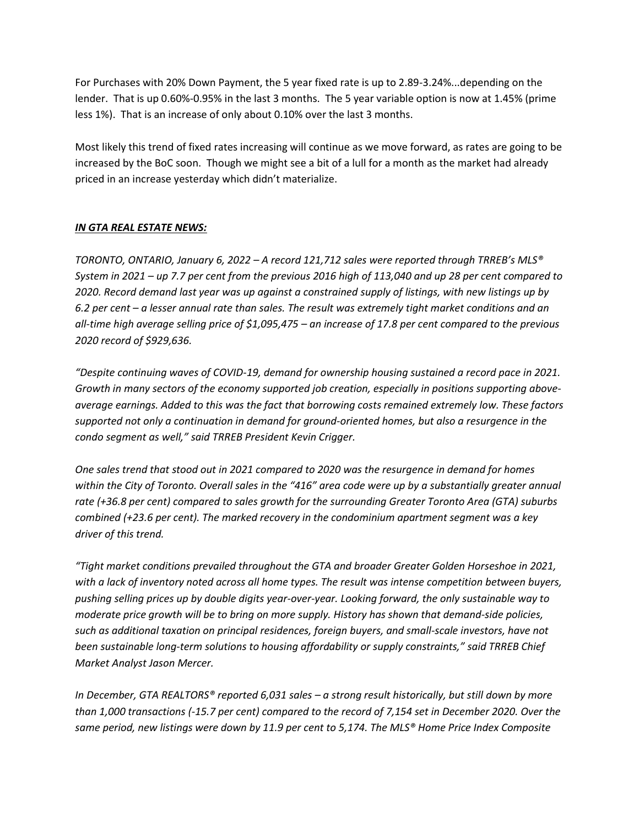For Purchases with 20% Down Payment, the 5 year fixed rate is up to 2.89-3.24%...depending on the lender. That is up 0.60%-0.95% in the last 3 months. The 5 year variable option is now at 1.45% (prime less 1%). That is an increase of only about 0.10% over the last 3 months.

Most likely this trend of fixed rates increasing will continue as we move forward, as rates are going to be increased by the BoC soon. Though we might see a bit of a lull for a month as the market had already priced in an increase yesterday which didn't materialize.

# *IN GTA REAL ESTATE NEWS:*

*TORONTO, ONTARIO, January 6, 2022 – A record 121,712 sales were reported through TRREB's MLS® System in 2021 – up 7.7 per cent from the previous 2016 high of 113,040 and up 28 per cent compared to 2020. Record demand last year was up against a constrained supply of listings, with new listings up by 6.2 per cent – a lesser annual rate than sales. The result was extremely tight market conditions and an all-time high average selling price of \$1,095,475 – an increase of 17.8 per cent compared to the previous 2020 record of \$929,636.* 

*"Despite continuing waves of COVID-19, demand for ownership housing sustained a record pace in 2021. Growth in many sectors of the economy supported job creation, especially in positions supporting aboveaverage earnings. Added to this was the fact that borrowing costs remained extremely low. These factors supported not only a continuation in demand for ground-oriented homes, but also a resurgence in the condo segment as well," said TRREB President Kevin Crigger.* 

*One sales trend that stood out in 2021 compared to 2020 was the resurgence in demand for homes within the City of Toronto. Overall sales in the "416" area code were up by a substantially greater annual rate (+36.8 per cent) compared to sales growth for the surrounding Greater Toronto Area (GTA) suburbs combined (+23.6 per cent). The marked recovery in the condominium apartment segment was a key driver of this trend.* 

*"Tight market conditions prevailed throughout the GTA and broader Greater Golden Horseshoe in 2021, with a lack of inventory noted across all home types. The result was intense competition between buyers, pushing selling prices up by double digits year-over-year. Looking forward, the only sustainable way to moderate price growth will be to bring on more supply. History has shown that demand-side policies, such as additional taxation on principal residences, foreign buyers, and small-scale investors, have not been sustainable long-term solutions to housing affordability or supply constraints," said TRREB Chief Market Analyst Jason Mercer.* 

*In December, GTA REALTORS® reported 6,031 sales – a strong result historically, but still down by more than 1,000 transactions (-15.7 per cent) compared to the record of 7,154 set in December 2020. Over the same period, new listings were down by 11.9 per cent to 5,174. The MLS® Home Price Index Composite*